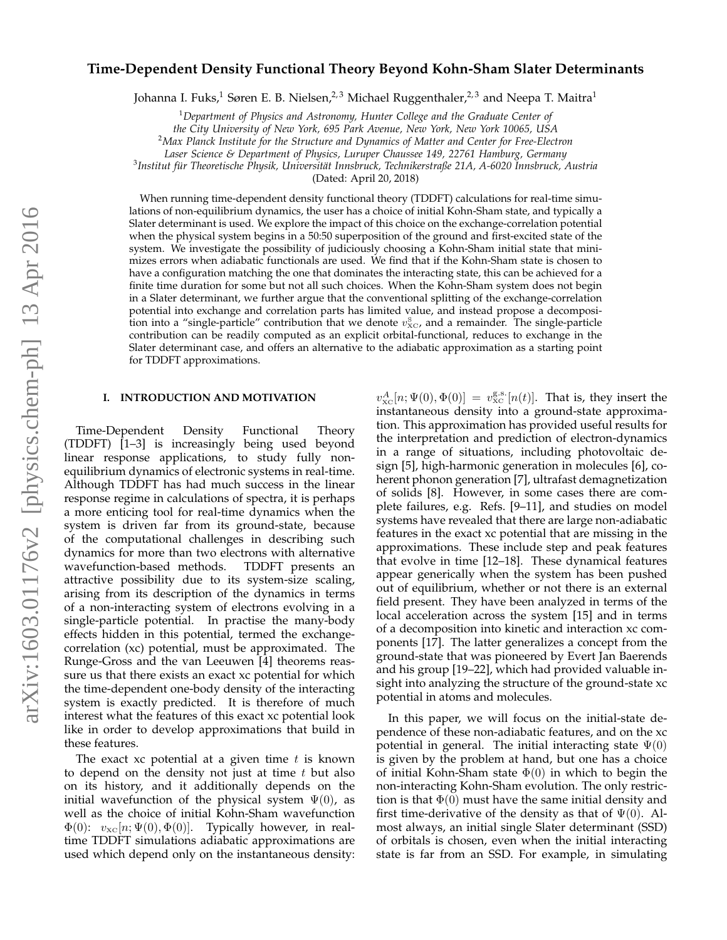# arXiv:1603.01176v2 [physics.chem-ph] 13 Apr 2016 arXiv:1603.01176v2 [physics.chem-ph] 13 Apr 2016

# **Time-Dependent Density Functional Theory Beyond Kohn-Sham Slater Determinants**

Johanna I. Fuks,<sup>1</sup> Søren E. B. Nielsen,<sup>2,3</sup> Michael Ruggenthaler,<sup>2,3</sup> and Neepa T. Maitra<sup>1</sup>

<sup>1</sup>*Department of Physics and Astronomy, Hunter College and the Graduate Center of*

*the City University of New York, 695 Park Avenue, New York, New York 10065, USA*

<sup>2</sup>*Max Planck Institute for the Structure and Dynamics of Matter and Center for Free-Electron*

*Laser Science & Department of Physics, Luruper Chaussee 149, 22761 Hamburg, Germany*

<sup>3</sup>Institut für Theoretische Physik, Universität Innsbruck, Technikerstraße 21A, A-6020 Innsbruck, Austria

(Dated: April 20, 2018)

When running time-dependent density functional theory (TDDFT) calculations for real-time simulations of non-equilibrium dynamics, the user has a choice of initial Kohn-Sham state, and typically a Slater determinant is used. We explore the impact of this choice on the exchange-correlation potential when the physical system begins in a 50:50 superposition of the ground and first-excited state of the system. We investigate the possibility of judiciously choosing a Kohn-Sham initial state that minimizes errors when adiabatic functionals are used. We find that if the Kohn-Sham state is chosen to have a configuration matching the one that dominates the interacting state, this can be achieved for a finite time duration for some but not all such choices. When the Kohn-Sham system does not begin in a Slater determinant, we further argue that the conventional splitting of the exchange-correlation potential into exchange and correlation parts has limited value, and instead propose a decomposition into a "single-particle" contribution that we denote  $v_{\text{SC}}^S$ , and a remainder. The single-particle contribution can be readily computed as an explicit orbital-functional, reduces to exchange in the Slater determinant case, and offers an alternative to the adiabatic approximation as a starting point for TDDFT approximations.

# **I. INTRODUCTION AND MOTIVATION**

Time-Dependent Density Functional Theory (TDDFT) [1–3] is increasingly being used beyond linear response applications, to study fully nonequilibrium dynamics of electronic systems in real-time. Although TDDFT has had much success in the linear response regime in calculations of spectra, it is perhaps a more enticing tool for real-time dynamics when the system is driven far from its ground-state, because of the computational challenges in describing such dynamics for more than two electrons with alternative wavefunction-based methods. TDDFT presents an attractive possibility due to its system-size scaling, arising from its description of the dynamics in terms of a non-interacting system of electrons evolving in a single-particle potential. In practise the many-body effects hidden in this potential, termed the exchangecorrelation (xc) potential, must be approximated. The Runge-Gross and the van Leeuwen [4] theorems reassure us that there exists an exact xc potential for which the time-dependent one-body density of the interacting system is exactly predicted. It is therefore of much interest what the features of this exact xc potential look like in order to develop approximations that build in these features.

The exact xc potential at a given time  $t$  is known to depend on the density not just at time  $t$  but also on its history, and it additionally depends on the initial wavefunction of the physical system  $\Psi(0)$ , as well as the choice of initial Kohn-Sham wavefunction  $\Phi(0)$ :  $v_{\text{xc}}[n; \Psi(0), \Phi(0)]$ . Typically however, in realtime TDDFT simulations adiabatic approximations are used which depend only on the instantaneous density:

 $v_{\text{xc}}^A[n; \Psi(0), \Phi(0)] = v_{\text{xc}}^{\text{g.s.}}[n(t)]$ . That is, they insert the instantaneous density into a ground-state approximation. This approximation has provided useful results for the interpretation and prediction of electron-dynamics in a range of situations, including photovoltaic design [5], high-harmonic generation in molecules [6], coherent phonon generation [7], ultrafast demagnetization of solids [8]. However, in some cases there are complete failures, e.g. Refs. [9–11], and studies on model systems have revealed that there are large non-adiabatic features in the exact xc potential that are missing in the approximations. These include step and peak features that evolve in time [12–18]. These dynamical features appear generically when the system has been pushed out of equilibrium, whether or not there is an external field present. They have been analyzed in terms of the local acceleration across the system [15] and in terms of a decomposition into kinetic and interaction xc components [17]. The latter generalizes a concept from the ground-state that was pioneered by Evert Jan Baerends and his group [19–22], which had provided valuable insight into analyzing the structure of the ground-state xc potential in atoms and molecules.

In this paper, we will focus on the initial-state dependence of these non-adiabatic features, and on the xc potential in general. The initial interacting state  $\Psi(0)$ is given by the problem at hand, but one has a choice of initial Kohn-Sham state  $\Phi(0)$  in which to begin the non-interacting Kohn-Sham evolution. The only restriction is that  $\Phi(0)$  must have the same initial density and first time-derivative of the density as that of  $\Psi(0)$ . Almost always, an initial single Slater determinant (SSD) of orbitals is chosen, even when the initial interacting state is far from an SSD. For example, in simulating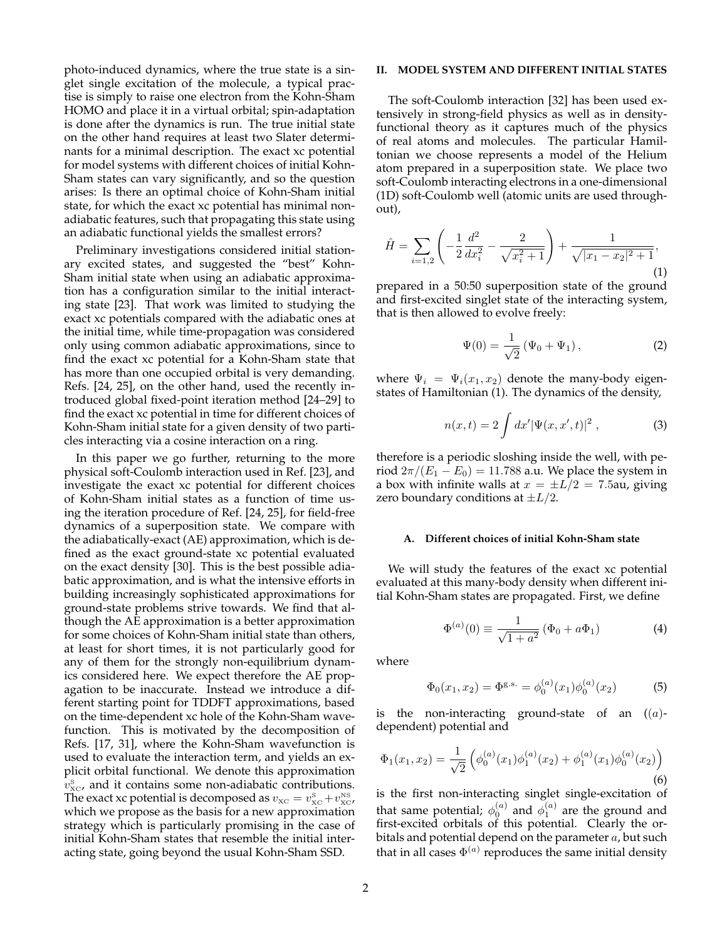photo-induced dynamics, where the true state is a singlet single excitation of the molecule, a typical practise is simply to raise one electron from the Kohn-Sham HOMO and place it in a virtual orbital; spin-adaptation is done after the dynamics is run. The true initial state on the other hand requires at least two Slater determinants for a minimal description. The exact xc potential for model systems with different choices of initial Kohn-Sham states can vary significantly, and so the question arises: Is there an optimal choice of Kohn-Sham initial state, for which the exact xc potential has minimal nonadiabatic features, such that propagating this state using an adiabatic functional yields the smallest errors?

Preliminary investigations considered initial stationary excited states, and suggested the "best" Kohn-Sham initial state when using an adiabatic approximation has a configuration similar to the initial interacting state [23]. That work was limited to studying the exact xc potentials compared with the adiabatic ones at the initial time, while time-propagation was considered only using common adiabatic approximations, since to find the exact xc potential for a Kohn-Sham state that has more than one occupied orbital is very demanding. Refs. [24, 25], on the other hand, used the recently introduced global fixed-point iteration method [24–29] to find the exact xc potential in time for different choices of Kohn-Sham initial state for a given density of two particles interacting via a cosine interaction on a ring.

In this paper we go further, returning to the more physical soft-Coulomb interaction used in Ref. [23], and investigate the exact xc potential for different choices of Kohn-Sham initial states as a function of time using the iteration procedure of Ref. [24, 25], for field-free dynamics of a superposition state. We compare with the adiabatically-exact (AE) approximation, which is defined as the exact ground-state xc potential evaluated on the exact density [30]. This is the best possible adiabatic approximation, and is what the intensive efforts in building increasingly sophisticated approximations for ground-state problems strive towards. We find that although the AE approximation is a better approximation for some choices of Kohn-Sham initial state than others, at least for short times, it is not particularly good for any of them for the strongly non-equilibrium dynamics considered here. We expect therefore the AE propagation to be inaccurate. Instead we introduce a different starting point for TDDFT approximations, based on the time-dependent xc hole of the Kohn-Sham wavefunction. This is motivated by the decomposition of Refs. [17, 31], where the Kohn-Sham wavefunction is used to evaluate the interaction term, and yields an explicit orbital functional. We denote this approximation  $v_{\text{xc}}^{\text{s}}$ , and it contains some non-adiabatic contributions. The exact xc potential is decomposed as  $v_{\rm xc} = v_{\rm xc}^{\rm s} + v_{\rm xc}^{\rm ns}$ which we propose as the basis for a new approximation strategy which is particularly promising in the case of initial Kohn-Sham states that resemble the initial interacting state, going beyond the usual Kohn-Sham SSD.

## **II. MODEL SYSTEM AND DIFFERENT INITIAL STATES**

The soft-Coulomb interaction [32] has been used extensively in strong-field physics as well as in densityfunctional theory as it captures much of the physics of real atoms and molecules. The particular Hamiltonian we choose represents a model of the Helium atom prepared in a superposition state. We place two soft-Coulomb interacting electrons in a one-dimensional (1D) soft-Coulomb well (atomic units are used throughout),

$$
\hat{H} = \sum_{i=1,2} \left( -\frac{1}{2} \frac{d^2}{dx_i^2} - \frac{2}{\sqrt{x_i^2 + 1}} \right) + \frac{1}{\sqrt{|x_1 - x_2|^2 + 1}},\tag{1}
$$

prepared in a 50:50 superposition state of the ground and first-excited singlet state of the interacting system, that is then allowed to evolve freely:

$$
\Psi(0) = \frac{1}{\sqrt{2}} \left( \Psi_0 + \Psi_1 \right),\tag{2}
$$

where  $\Psi_i = \Psi_i(x_1, x_2)$  denote the many-body eigenstates of Hamiltonian (1). The dynamics of the density,

$$
n(x,t) = 2 \int dx' |\Psi(x, x', t)|^2 , \qquad (3)
$$

therefore is a periodic sloshing inside the well, with period  $2\pi/(E_1 - E_0) = 11.788$  a.u. We place the system in a box with infinite walls at  $x = \pm L/2 = 7.5$ au, giving zero boundary conditions at  $\pm L/2$ .

### **A. Different choices of initial Kohn-Sham state**

We will study the features of the exact xc potential evaluated at this many-body density when different initial Kohn-Sham states are propagated. First, we define

$$
\Phi^{(a)}(0) \equiv \frac{1}{\sqrt{1+a^2}} \left( \Phi_0 + a \Phi_1 \right) \tag{4}
$$

where

$$
\Phi_0(x_1, x_2) = \Phi^{\text{g.s.}} = \phi_0^{(a)}(x_1)\phi_0^{(a)}(x_2)
$$
 (5)

is the non-interacting ground-state of an  $((a)$ dependent) potential and

$$
\Phi_1(x_1, x_2) = \frac{1}{\sqrt{2}} \left( \phi_0^{(a)}(x_1) \phi_1^{(a)}(x_2) + \phi_1^{(a)}(x_1) \phi_0^{(a)}(x_2) \right)
$$
\n(6)

is the first non-interacting singlet single-excitation of that same potential;  $\phi_0^{(a)}$  and  $\phi_1^{(a)}$  are the ground and first-excited orbitals of this potential. Clearly the orbitals and potential depend on the parameter  $a$ , but such that in all cases  $\Phi^{(a)}$  reproduces the same initial density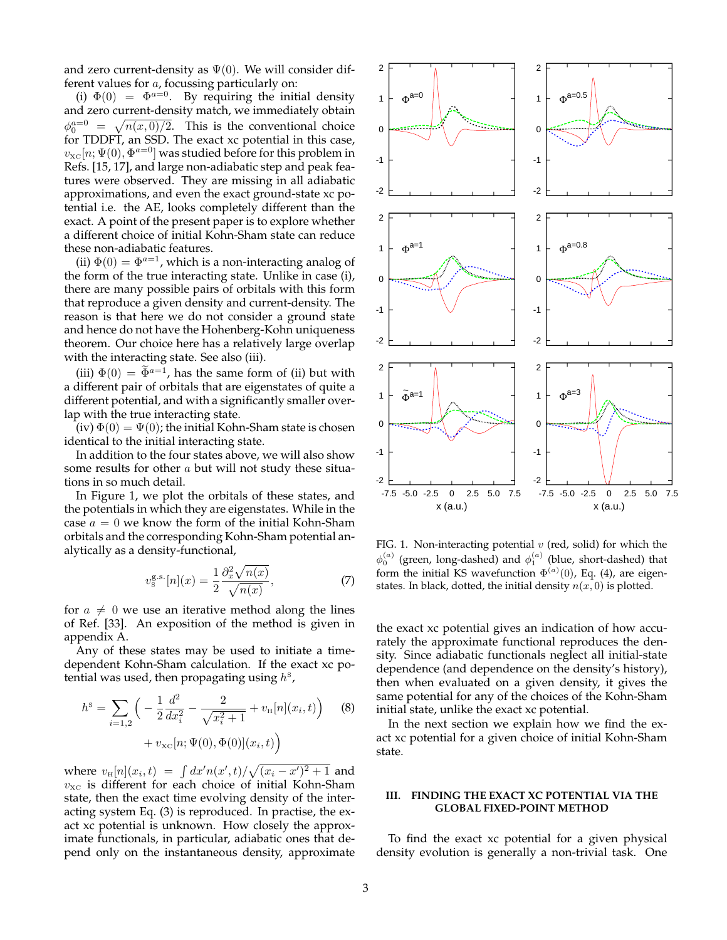and zero current-density as  $\Psi(0)$ . We will consider different values for a, focussing particularly on:

(i)  $\Phi(0) = \Phi^{a=0}$ . By requiring the initial density and zero current-density match, we immediately obtain  $\phi_0^{a=0} = \sqrt{n(x,0)/2}$ . This is the conventional choice for TDDFT, an SSD. The exact xc potential in this case,  $v_{\text{xc}}[n; \Psi(0), \Phi^{a=0}]$  was studied before for this problem in Refs. [15, 17], and large non-adiabatic step and peak features were observed. They are missing in all adiabatic approximations, and even the exact ground-state xc potential i.e. the AE, looks completely different than the exact. A point of the present paper is to explore whether a different choice of initial Kohn-Sham state can reduce these non-adiabatic features.

(ii)  $\Phi(0) = \Phi^{a=1}$ , which is a non-interacting analog of the form of the true interacting state. Unlike in case (i), there are many possible pairs of orbitals with this form that reproduce a given density and current-density. The reason is that here we do not consider a ground state and hence do not have the Hohenberg-Kohn uniqueness theorem. Our choice here has a relatively large overlap with the interacting state. See also (iii).

(iii)  $\Phi(0) = \tilde{\Phi}^{a=1}$ , has the same form of (ii) but with a different pair of orbitals that are eigenstates of quite a different potential, and with a significantly smaller overlap with the true interacting state.

(iv)  $\Phi(0) = \Psi(0)$ ; the initial Kohn-Sham state is chosen identical to the initial interacting state.

In addition to the four states above, we will also show some results for other a but will not study these situations in so much detail.

In Figure 1, we plot the orbitals of these states, and the potentials in which they are eigenstates. While in the case  $a = 0$  we know the form of the initial Kohn-Sham orbitals and the corresponding Kohn-Sham potential analytically as a density-functional,

$$
v_{\rm s}^{\rm g.s.}[n](x) = \frac{1}{2} \frac{\partial_x^2 \sqrt{n(x)}}{\sqrt{n(x)}},\tag{7}
$$

for  $a \neq 0$  we use an iterative method along the lines of Ref. [33]. An exposition of the method is given in appendix A.

Any of these states may be used to initiate a timedependent Kohn-Sham calculation. If the exact xc potential was used, then propagating using  $h^{\rm s}$ ,

$$
h^{s} = \sum_{i=1,2} \left( -\frac{1}{2} \frac{d^{2}}{dx_{i}^{2}} - \frac{2}{\sqrt{x_{i}^{2} + 1}} + v_{H}[n](x_{i}, t) \right) \quad (8)
$$

$$
+ v_{\text{xc}}[n; \Psi(0), \Phi(0)](x_{i}, t) \right)
$$

where  $v_{\text{H}}[n](x_i, t) = \int dx' n(x', t) / \sqrt{(x_i - x')^2 + 1}$  and  $v_{\text{xc}}$  is different for each choice of initial Kohn-Sham state, then the exact time evolving density of the interacting system Eq. (3) is reproduced. In practise, the exact xc potential is unknown. How closely the approximate functionals, in particular, adiabatic ones that depend only on the instantaneous density, approximate



FIG. 1. Non-interacting potential  $v$  (red, solid) for which the  $\phi_0^{(a)}$  (green, long-dashed) and  $\phi_1^{(a)}$  (blue, short-dashed) that form the initial KS wavefunction  $\Phi^{(a)}(0)$ , Eq. (4), are eigenstates. In black, dotted, the initial density  $n(x, 0)$  is plotted.

the exact xc potential gives an indication of how accurately the approximate functional reproduces the density. Since adiabatic functionals neglect all initial-state dependence (and dependence on the density's history), then when evaluated on a given density, it gives the same potential for any of the choices of the Kohn-Sham initial state, unlike the exact xc potential.

In the next section we explain how we find the exact xc potential for a given choice of initial Kohn-Sham state.

# **III. FINDING THE EXACT XC POTENTIAL VIA THE GLOBAL FIXED-POINT METHOD**

To find the exact xc potential for a given physical density evolution is generally a non-trivial task. One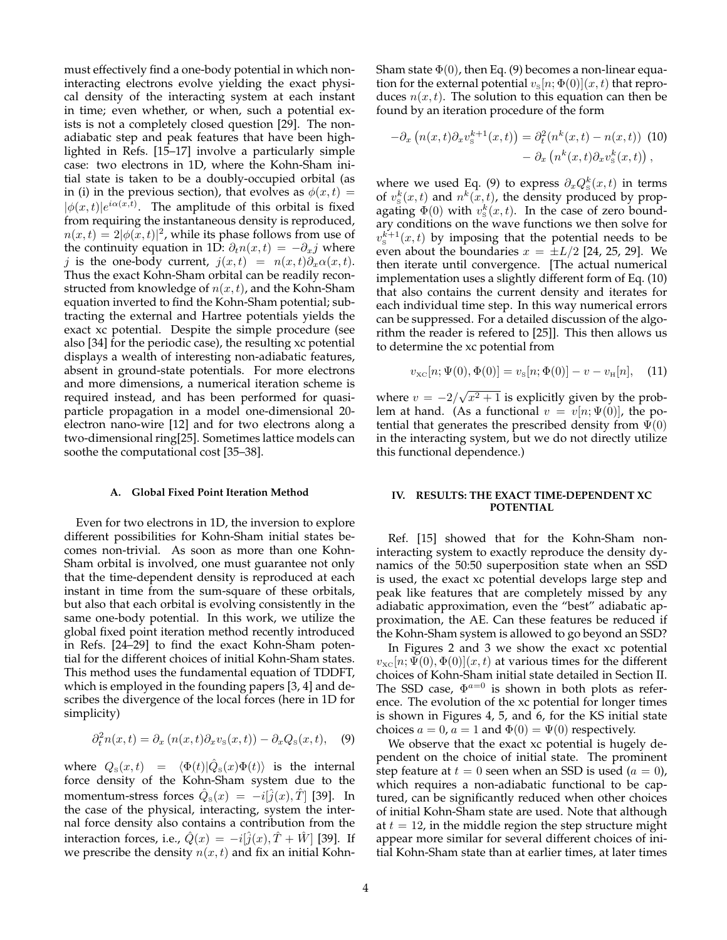must effectively find a one-body potential in which noninteracting electrons evolve yielding the exact physical density of the interacting system at each instant in time; even whether, or when, such a potential exists is not a completely closed question [29]. The nonadiabatic step and peak features that have been highlighted in Refs. [15–17] involve a particularly simple case: two electrons in 1D, where the Kohn-Sham initial state is taken to be a doubly-occupied orbital (as in (i) in the previous section), that evolves as  $\phi(x,t) =$  $|\phi(x,t)|e^{i\alpha(x,t)}$ . The amplitude of this orbital is fixed from requiring the instantaneous density is reproduced,  $n(x,t) = 2|\phi(x,t)|^2$ , while its phase follows from use of the continuity equation in 1D:  $\partial_t n(x,t) = -\partial_x j$  where j is the one-body current,  $j(x,t) = n(x,t)\partial_x \alpha(x,t)$ . Thus the exact Kohn-Sham orbital can be readily reconstructed from knowledge of  $n(x, t)$ , and the Kohn-Sham equation inverted to find the Kohn-Sham potential; subtracting the external and Hartree potentials yields the exact xc potential. Despite the simple procedure (see also [34] for the periodic case), the resulting xc potential displays a wealth of interesting non-adiabatic features, absent in ground-state potentials. For more electrons and more dimensions, a numerical iteration scheme is required instead, and has been performed for quasiparticle propagation in a model one-dimensional 20 electron nano-wire [12] and for two electrons along a two-dimensional ring[25]. Sometimes lattice models can soothe the computational cost [35–38].

### **A. Global Fixed Point Iteration Method**

Even for two electrons in 1D, the inversion to explore different possibilities for Kohn-Sham initial states becomes non-trivial. As soon as more than one Kohn-Sham orbital is involved, one must guarantee not only that the time-dependent density is reproduced at each instant in time from the sum-square of these orbitals, but also that each orbital is evolving consistently in the same one-body potential. In this work, we utilize the global fixed point iteration method recently introduced in Refs. [24–29] to find the exact Kohn-Sham potential for the different choices of initial Kohn-Sham states. This method uses the fundamental equation of TDDFT, which is employed in the founding papers [3, 4] and describes the divergence of the local forces (here in 1D for simplicity)

$$
\partial_t^2 n(x,t) = \partial_x (n(x,t)\partial_x v_s(x,t)) - \partial_x Q_s(x,t), \quad (9)
$$

where  $Q_{\rm s}(x,t) = \langle \Phi(t) | \hat{Q}_{\rm s}(x) \Phi(t) \rangle$  is the internal force density of the Kohn-Sham system due to the momentum-stress forces  $\hat{Q}_{\text{\tiny S}}(x)~=~-i[\hat{j}(x),\hat{T}]$  [39]. In the case of the physical, interacting, system the internal force density also contains a contribution from the interaction forces, i.e.,  $\hat{Q}(x) = -i[\hat{j}(x), \hat{T} + \hat{W}]$  [39]. If we prescribe the density  $n(x, t)$  and fix an initial KohnSham state  $\Phi(0)$ , then Eq. (9) becomes a non-linear equation for the external potential  $v_s[n; \Phi(0)](x, t)$  that reproduces  $n(x, t)$ . The solution to this equation can then be found by an iteration procedure of the form

$$
-\partial_x \left( n(x,t) \partial_x v_s^{k+1}(x,t) \right) = \partial_t^2 (n^k(x,t) - n(x,t)) \tag{10} - \partial_x \left( n^k(x,t) \partial_x v_s^k(x,t) \right),
$$

where we used Eq. (9) to express  $\partial_x Q_{\rm s}^k(x,t)$  in terms of  $v_s^k(x,t)$  and  $n^k(x,t)$ , the density produced by propagating  $\Phi(0)$  with  $v_s^k(x,t)$ . In the case of zero boundary conditions on the wave functions we then solve for  $v^{k+1}_s(x,t)$  by imposing that the potential needs to be even about the boundaries  $x = \pm L/2$  [24, 25, 29]. We then iterate until convergence. [The actual numerical implementation uses a slightly different form of Eq. (10) that also contains the current density and iterates for each individual time step. In this way numerical errors can be suppressed. For a detailed discussion of the algorithm the reader is refered to [25]]. This then allows us to determine the xc potential from

$$
v_{\rm xc}[n; \Psi(0), \Phi(0)] = v_{\rm s}[n; \Phi(0)] - v - v_{\rm H}[n], \quad (11)
$$

where  $v = -2/$ √  $x^2 + 1$  is explicitly given by the problem at hand. (As a functional  $v = v[n; \Psi(0)]$ , the potential that generates the prescribed density from  $\Psi(0)$ in the interacting system, but we do not directly utilize this functional dependence.)

# **IV. RESULTS: THE EXACT TIME-DEPENDENT XC POTENTIAL**

Ref. [15] showed that for the Kohn-Sham noninteracting system to exactly reproduce the density dynamics of the 50:50 superposition state when an SSD is used, the exact xc potential develops large step and peak like features that are completely missed by any adiabatic approximation, even the "best" adiabatic approximation, the AE. Can these features be reduced if the Kohn-Sham system is allowed to go beyond an SSD?

In Figures 2 and 3 we show the exact xc potential  $v_{\text{xc}}[n; \Psi(0), \Phi(0)](x, t)$  at various times for the different choices of Kohn-Sham initial state detailed in Section II. The SSD case,  $\Phi^{a=0}$  is shown in both plots as reference. The evolution of the xc potential for longer times is shown in Figures 4, 5, and 6, for the KS initial state choices  $a = 0$ ,  $a = 1$  and  $\Phi(0) = \Psi(0)$  respectively.

We observe that the exact xc potential is hugely dependent on the choice of initial state. The prominent step feature at  $t = 0$  seen when an SSD is used  $(a = 0)$ , which requires a non-adiabatic functional to be captured, can be significantly reduced when other choices of initial Kohn-Sham state are used. Note that although at  $t = 12$ , in the middle region the step structure might appear more similar for several different choices of initial Kohn-Sham state than at earlier times, at later times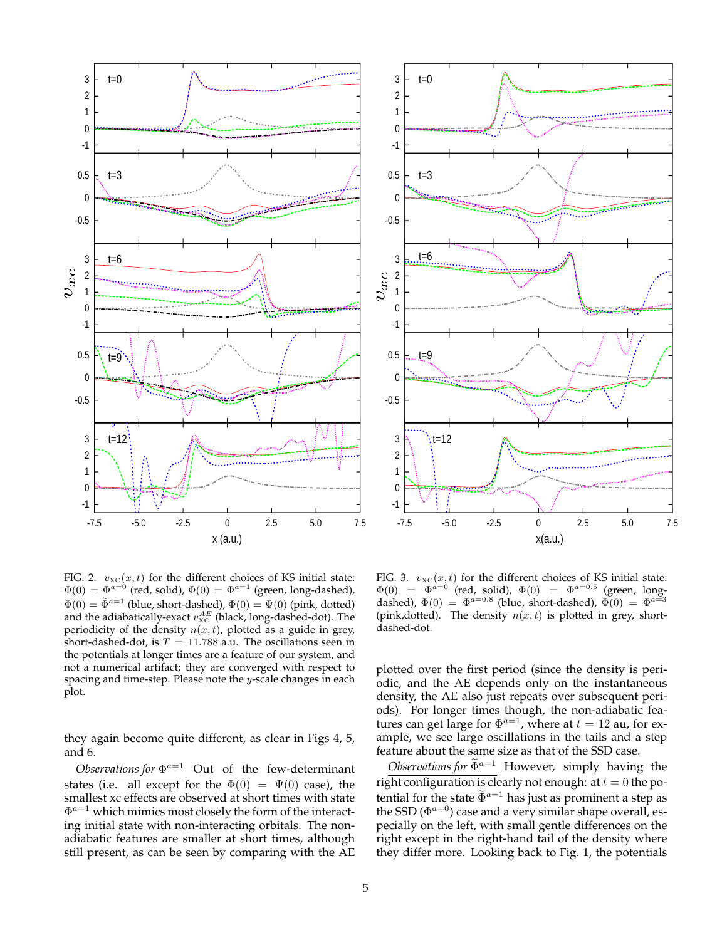

FIG. 2.  $v_{\text{XC}}(x, t)$  for the different choices of KS initial state:  $\Phi(0) = \Phi^{a=0}$  (red, solid),  $\Phi(0) = \Phi^{a=1}$  (green, long-dashed),  $\Phi(0) = \tilde{\Phi}^{a=1}$  (blue, short-dashed),  $\Phi(0) = \Psi(0)$  (pink, dotted) and the adiabatically-exact  $v_{\mathrm{xc}}^{AE}$  (black, long-dashed-dot). The periodicity of the density  $n(x, t)$ , plotted as a guide in grey, short-dashed-dot, is  $T = 11.788$  a.u. The oscillations seen in the potentials at longer times are a feature of our system, and not a numerical artifact; they are converged with respect to spacing and time-step. Please note the  $y$ -scale changes in each plot.

they again become quite different, as clear in Figs 4, 5, and 6.

*Observations for*  $\Phi^{a=1}$  Out of the few-determinant states (i.e. all except for the  $\Phi(0) = \Psi(0)$  case), the smallest xc effects are observed at short times with state  $\Phi^{a=1}$  which mimics most closely the form of the interacting initial state with non-interacting orbitals. The nonadiabatic features are smaller at short times, although still present, as can be seen by comparing with the AE



FIG. 3.  $v_{\text{XC}}(x, t)$  for the different choices of KS initial state:  $\Phi(0) = \Phi^{a=0}$  (red, solid),  $\Phi(0) = \Phi^{a=0.5}$  (green, longdashed),  $\Phi(0) = \Phi^{a=0.8}$  (blue, short-dashed),  $\Phi(0) = \Phi^{a=3}$ (pink,dotted). The density  $n(x, t)$  is plotted in grey, shortdashed-dot.

plotted over the first period (since the density is periodic, and the AE depends only on the instantaneous density, the AE also just repeats over subsequent periods). For longer times though, the non-adiabatic features can get large for  $\Phi^{a=1}$ , where at  $t = 12$  au, for example, we see large oscillations in the tails and a step feature about the same size as that of the SSD case.

*Observations for*  $\widetilde{\Phi}^{a=1}$  However, simply having the right configuration is clearly not enough: at  $t = 0$  the potential for the state  $\widetilde{\Phi}^{a=1}$  has just as prominent a step as the SSD ( $\Phi^{a=0}$ ) case and a very similar shape overall, especially on the left, with small gentle differences on the right except in the right-hand tail of the density where they differ more. Looking back to Fig. 1, the potentials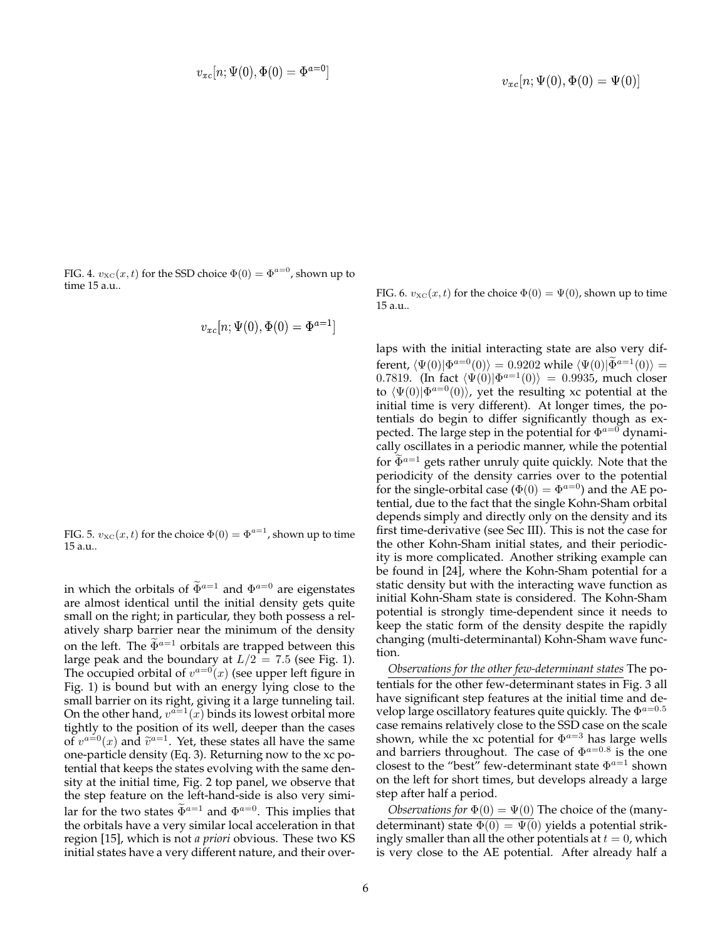

FIG. 4.  $v_{\text{XC}}(x, t)$  for the SSD choice  $\Phi(0) = \Phi^{a=0}$ , shown up to time 15 a.u..



FIG. 5.  $v_{\text{XC}}(x, t)$  for the choice  $\Phi(0) = \Phi^{a=1}$ , shown up to time 15 a.u..

in which the orbitals of  $\tilde{\Phi}^{a=1}$  and  $\Phi^{a=0}$  are eigenstates are almost identical until the initial density gets quite small on the right; in particular, they both possess a relatively sharp barrier near the minimum of the density on the left. The  $\widetilde{\Phi}^{a=1}$  orbitals are trapped between this large peak and the boundary at  $L/2 = 7.5$  (see Fig. 1). The occupied orbital of  $v^{a=0}(x)$  (see upper left figure in Fig. 1) is bound but with an energy lying close to the small barrier on its right, giving it a large tunneling tail. On the other hand,  $v^{a=1}(x)$  binds its lowest orbital more tightly to the position of its well, deeper than the cases of  $v^{a=0}(x)$  and  $\tilde{v}^{a=1}$ . Yet, these states all have the same<br>one-particle density (Eq. 3). Returning now to the xc poone-particle density (Eq. 3). Returning now to the xc potential that keeps the states evolving with the same density at the initial time, Fig. 2 top panel, we observe that the step feature on the left-hand-side is also very similar for the two states  $\tilde{\Phi}^{a=1}$  and  $\Phi^{a=0}$ . This implies that the orbitals have a very similar local acceleration in that region [15], which is not *a priori* obvious. These two KS initial states have a very different nature, and their over-



FIG. 6.  $v_{\text{XC}}(x, t)$  for the choice  $\Phi(0) = \Psi(0)$ , shown up to time 15 a.u..

laps with the initial interacting state are also very different,  $\langle \Psi(0)|\Phi^{a=0}(0)\rangle = 0.9202$  while  $\langle \Psi(0)|\tilde{\Phi}^{a=1}(0)\rangle =$ 0.7819. (In fact  $\langle \Psi(0) | \Phi^{a=1}(0) \rangle = 0.9935$ , much closer to  $\langle \Psi(0)|\Phi^{a=0}(0)\rangle$ , yet the resulting xc potential at the initial time is very different). At longer times, the potentials do begin to differ significantly though as expected. The large step in the potential for  $\Phi^{a=0}$  dynamically oscillates in a periodic manner, while the potential for  $\widetilde{\Phi}^{a=1}$  gets rather unruly quite quickly. Note that the periodicity of the density carries over to the potential for the single-orbital case ( $\Phi(0) = \Phi^{a=0}$ ) and the AE potential, due to the fact that the single Kohn-Sham orbital depends simply and directly only on the density and its first time-derivative (see Sec III). This is not the case for the other Kohn-Sham initial states, and their periodicity is more complicated. Another striking example can be found in [24], where the Kohn-Sham potential for a static density but with the interacting wave function as initial Kohn-Sham state is considered. The Kohn-Sham potential is strongly time-dependent since it needs to keep the static form of the density despite the rapidly changing (multi-determinantal) Kohn-Sham wave function.

*Observations for the other few-determinant states* The potentials for the other few-determinant states in Fig. 3 all have significant step features at the initial time and develop large oscillatory features quite quickly. The  $\Phi^{a=0.5}$ case remains relatively close to the SSD case on the scale shown, while the xc potential for  $\Phi^{a=3}$  has large wells and barriers throughout. The case of  $\Phi^{a=0.8}$  is the one closest to the "best" few-determinant state  $\Phi^{a=1}$  shown on the left for short times, but develops already a large step after half a period.

*Observations for*  $\Phi(0) = \Psi(0)$  The choice of the (manydeterminant) state  $\Phi(0) = \Psi(0)$  yields a potential strikingly smaller than all the other potentials at  $t = 0$ , which is very close to the AE potential. After already half a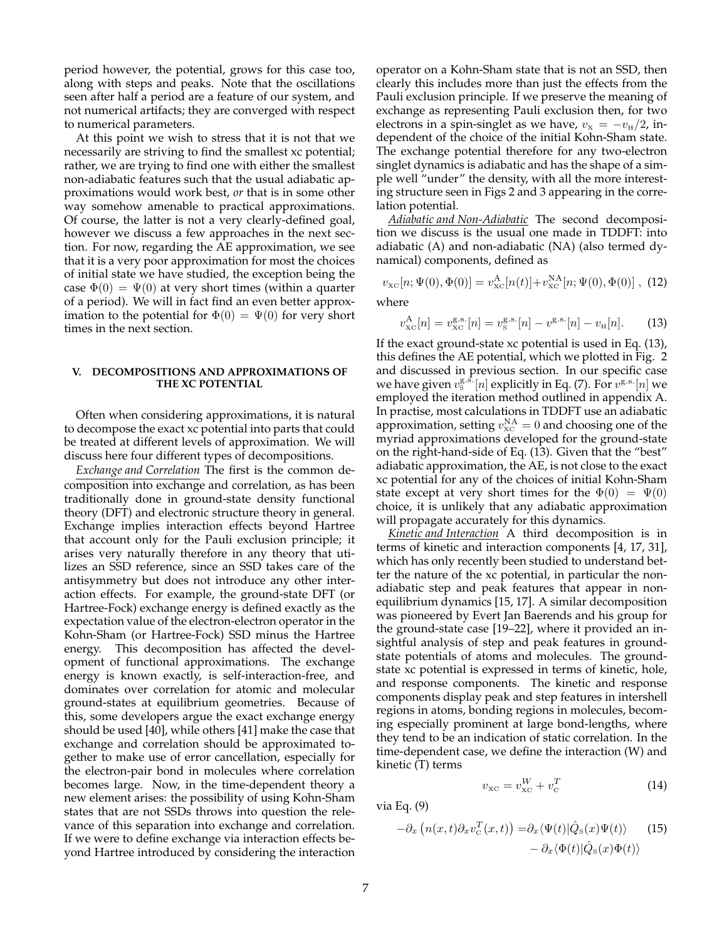period however, the potential, grows for this case too, along with steps and peaks. Note that the oscillations seen after half a period are a feature of our system, and not numerical artifacts; they are converged with respect to numerical parameters.

At this point we wish to stress that it is not that we necessarily are striving to find the smallest xc potential; rather, we are trying to find one with either the smallest non-adiabatic features such that the usual adiabatic approximations would work best, *or* that is in some other way somehow amenable to practical approximations. Of course, the latter is not a very clearly-defined goal, however we discuss a few approaches in the next section. For now, regarding the AE approximation, we see that it is a very poor approximation for most the choices of initial state we have studied, the exception being the case  $\Phi(0) = \Psi(0)$  at very short times (within a quarter of a period). We will in fact find an even better approximation to the potential for  $\Phi(0) = \Psi(0)$  for very short times in the next section.

# **V. DECOMPOSITIONS AND APPROXIMATIONS OF THE XC POTENTIAL**

Often when considering approximations, it is natural to decompose the exact xc potential into parts that could be treated at different levels of approximation. We will discuss here four different types of decompositions.

*Exchange and Correlation* The first is the common decomposition into exchange and correlation, as has been traditionally done in ground-state density functional theory (DFT) and electronic structure theory in general. Exchange implies interaction effects beyond Hartree that account only for the Pauli exclusion principle; it arises very naturally therefore in any theory that utilizes an SSD reference, since an SSD takes care of the antisymmetry but does not introduce any other interaction effects. For example, the ground-state DFT (or Hartree-Fock) exchange energy is defined exactly as the expectation value of the electron-electron operator in the Kohn-Sham (or Hartree-Fock) SSD minus the Hartree energy. This decomposition has affected the development of functional approximations. The exchange energy is known exactly, is self-interaction-free, and dominates over correlation for atomic and molecular ground-states at equilibrium geometries. Because of this, some developers argue the exact exchange energy should be used [40], while others [41] make the case that exchange and correlation should be approximated together to make use of error cancellation, especially for the electron-pair bond in molecules where correlation becomes large. Now, in the time-dependent theory a new element arises: the possibility of using Kohn-Sham states that are not SSDs throws into question the relevance of this separation into exchange and correlation. If we were to define exchange via interaction effects beyond Hartree introduced by considering the interaction operator on a Kohn-Sham state that is not an SSD, then clearly this includes more than just the effects from the Pauli exclusion principle. If we preserve the meaning of exchange as representing Pauli exclusion then, for two electrons in a spin-singlet as we have,  $v_x = -v_H/2$ , independent of the choice of the initial Kohn-Sham state. The exchange potential therefore for any two-electron singlet dynamics is adiabatic and has the shape of a simple well "under" the density, with all the more interesting structure seen in Figs 2 and 3 appearing in the correlation potential.

*Adiabatic and Non-Adiabatic* The second decomposition we discuss is the usual one made in TDDFT: into adiabatic (A) and non-adiabatic (NA) (also termed dynamical) components, defined as

$$
v_{\rm xc}[n; \Psi(0), \Phi(0)] = v_{\rm xc}^{\rm A}[n(t)] + v_{\rm xc}^{\rm NA}[n; \Psi(0), \Phi(0)] \; , \; (12)
$$

where

$$
v_{\text{xc}}^{\text{A}}[n] = v_{\text{xc}}^{\text{g.s.}}[n] = v_{\text{s}}^{\text{g.s.}}[n] - v^{\text{g.s.}}[n] - v_{\text{H}}[n].\tag{13}
$$

If the exact ground-state xc potential is used in Eq. (13), this defines the AE potential, which we plotted in Fig. 2 and discussed in previous section. In our specific case we have given  $v_{\rm s}^{\rm g.s.}[n]$  explicitly in Eq. (7). For  $v^{\rm g.s.}[n]$  we employed the iteration method outlined in appendix A. In practise, most calculations in TDDFT use an adiabatic approximation, setting  $v_{\text{xc}}^{\text{NA}} = 0$  and choosing one of the myriad approximations developed for the ground-state on the right-hand-side of Eq. (13). Given that the "best" adiabatic approximation, the AE, is not close to the exact xc potential for any of the choices of initial Kohn-Sham state except at very short times for the  $\Phi(0) = \Psi(0)$ choice, it is unlikely that any adiabatic approximation will propagate accurately for this dynamics.

*Kinetic and Interaction* A third decomposition is in terms of kinetic and interaction components [4, 17, 31], which has only recently been studied to understand better the nature of the xc potential, in particular the nonadiabatic step and peak features that appear in nonequilibrium dynamics [15, 17]. A similar decomposition was pioneered by Evert Jan Baerends and his group for the ground-state case [19–22], where it provided an insightful analysis of step and peak features in groundstate potentials of atoms and molecules. The groundstate xc potential is expressed in terms of kinetic, hole, and response components. The kinetic and response components display peak and step features in intershell regions in atoms, bonding regions in molecules, becoming especially prominent at large bond-lengths, where they tend to be an indication of static correlation. In the time-dependent case, we define the interaction (W) and kinetic (T) terms

$$
v_{\rm xc} = v_{\rm xc}^W + v_{\rm c}^T \tag{14}
$$

via Eq. (9)

$$
-\partial_x \left( n(x,t) \partial_x v_{\mathcal{C}}^T(x,t) \right) = \partial_x \langle \Psi(t) | \hat{Q}_{\mathcal{S}}(x) \Psi(t) \rangle \tag{15} - \partial_x \langle \Phi(t) | \hat{Q}_{\mathcal{S}}(x) \Phi(t) \rangle
$$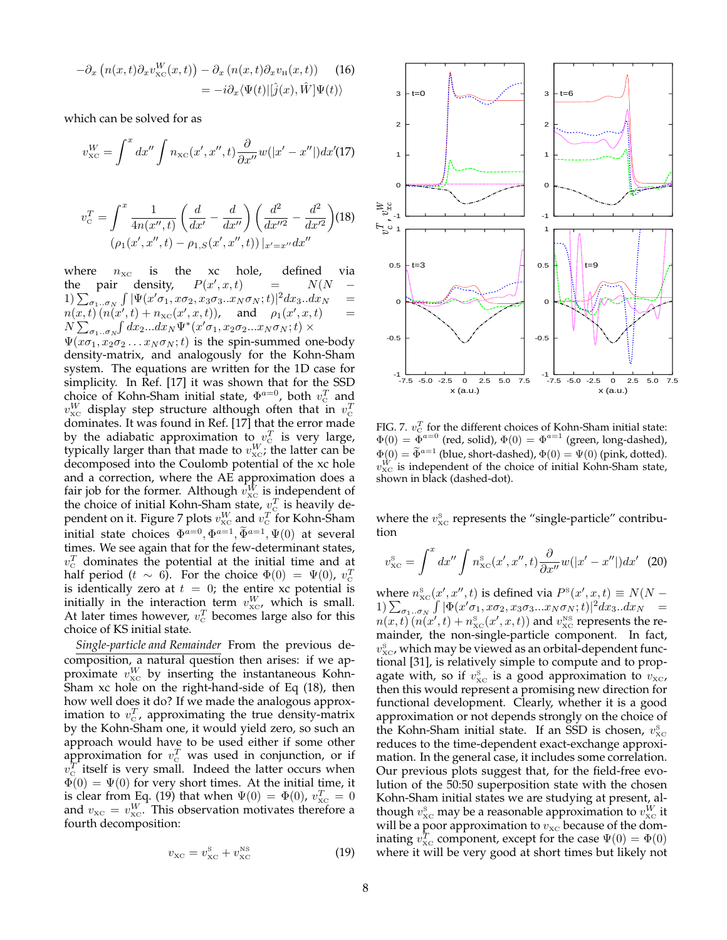$$
-\partial_x \left( n(x,t) \partial_x v_{\text{xc}}^W(x,t) \right) - \partial_x \left( n(x,t) \partial_x v_{\text{H}}(x,t) \right) \tag{16}
$$

$$
= -i \partial_x \langle \Psi(t) | [\hat{j}(x), \hat{W}] \Psi(t) \rangle
$$

which can be solved for as

$$
v_{\rm xc}^W = \int^x dx'' \int n_{\rm xc}(x', x'', t) \frac{\partial}{\partial x''} w(|x' - x''|) dx' (17)
$$

$$
v_{\rm c}^{T} = \int_{0}^{x} \frac{1}{4n(x'',t)} \left( \frac{d}{dx'} - \frac{d}{dx''} \right) \left( \frac{d^{2}}{dx''^{2}} - \frac{d^{2}}{dx'^{2}} \right) (18)
$$

$$
(\rho_{1}(x',x'',t) - \rho_{1,S}(x',x'',t))|_{x'=x''} dx''
$$

where  $n_{\text{xc}}$  is the xc hole, defined via the pair density,  $(0, x, t)$  =  $N(N (1) \sum_{\sigma_1...\sigma_N} \int |\Psi(x'\sigma_1, x\sigma_2, x_3\sigma_3...x_N\sigma_N; t)|^2 dx_3...dx_N =$  $n(x,t)(n(x',t) + n_{\text{xc}}(x',x,t)),$  and  $\rho_1(x',x,t)$  =  $N \sum_{\sigma_1...\sigma_N}\int dx_2...dx_N \Psi^*(x'\sigma_1,x_2\sigma_2...x_N\sigma_N;t)\times$ 

 $\Psi(x\sigma_1, x_2\sigma_2 \dots x_N\sigma_N; t)$  is the spin-summed one-body density-matrix, and analogously for the Kohn-Sham system. The equations are written for the 1D case for simplicity. In Ref. [17] it was shown that for the SSD choice of Kohn-Sham initial state,  $\Phi^{a=0}$ , both  $v_{\mathrm{C}}^{T}$  and  $v_{\mathrm{xc}}^W$  display step structure although often that in  $v_{\mathrm{c}}^T$ dominates. It was found in Ref. [17] that the error made by the adiabatic approximation to  $v_{\mathrm{c}}^{T}$  is very large, typically larger than that made to  $v_{\text{xc}}^W$ ; the latter can be decomposed into the Coulomb potential of the xc hole and a correction, where the AE approximation does a fair job for the former. Although  $\tilde{v}_{\rm xc}^W$  is independent of the choice of initial Kohn-Sham state,  $v_c^T$  is heavily dependent on it. Figure 7 plots  $v_{\rm xc}^W$  and  $v_{\rm C}^T$  for Kohn-Sham initial state choices  $\Phi^{a=0}, \Phi^{a=1}, \tilde{\Phi}^{a=1}, \Psi(0)$  at several times. We see again that for the few-determinant states,  $v_{\rm c}^T$  dominates the potential at the initial time and at half period ( $t \, \sim \, 6$ ). For the choice  $\Phi(0) \, = \, \Psi(0)$ ,  $v_{\rm c}^T$ is identically zero at  $t = 0$ ; the entire xc potential is initially in the interaction term  $v_{\text{xc}}^W$ , which is small. At later times however,  $v_c^T$  becomes large also for this choice of KS initial state.

*Single-particle and Remainder* From the previous decomposition, a natural question then arises: if we approximate  $v_{\text{xc}}^{W}$  by inserting the instantaneous Kohn-Sham xc hole on the right-hand-side of Eq (18), then how well does it do? If we made the analogous approximation to  $v_{\mathrm{c}}^{T}$ , approximating the true density-matrix by the Kohn-Sham one, it would yield zero, so such an approach would have to be used either if some other approximation for  $v_c^T$  was used in conjunction, or if  $v_{\rm c}^T$  itself is very small. Indeed the latter occurs when  $\Phi(0) = \Psi(0)$  for very short times. At the initial time, it is clear from Eq. (19) that when  $\Psi(0) = \Phi(0)$ ,  $v_{\text{xc}}^T = 0$ and  $v_{\text{xc}} = v_{\text{xc}}^W$ . This observation motivates therefore a fourth decomposition:

$$
v_{\rm xc} = v_{\rm xc}^{\rm s} + v_{\rm xc}^{\rm ns} \tag{19}
$$



FIG. 7.  $v_{\rm C}^T$  for the different choices of Kohn-Sham initial state:  $\Phi(0) = \Phi^{a=0}$  (red, solid),  $\Phi(0) = \Phi^{a=1}$  (green, long-dashed),  $\Phi(0) = \widetilde{\Phi}^{a=1}$  (blue, short-dashed),  $\Phi(0) = \Psi(0)$  (pink, dotted).  $v_{\text{XC}}^W$  is independent of the choice of initial Kohn-Sham state, shown in black (dashed-dot).

where the  $v_{\rm xc}^{\rm s}$  represents the "single-particle" contribution

$$
v_{\rm xc}^{\rm S} = \int^x dx'' \int n_{\rm xc}^{\rm S}(x', x'', t) \frac{\partial}{\partial x''} w(|x' - x''|) dx' \tag{20}
$$

where  $n_{\text{xc}}^{\text{s}}(x', x'', t)$  is defined via  $P^{\text{s}}(x', x, t) \equiv N(N - t)$ 1)  $\sum_{\sigma_1...\sigma_N} \int |\Phi(x'\sigma_1, x\sigma_2, x_3\sigma_3...x_N\sigma_N; t)|^2 dx_3...dx_N =$  $n(x,t) (n(x',t) + n_{\text{xc}}^{\text{s}}(x',x,t))$  and  $v_{\text{xc}}^{\text{NS}}$  represents the remainder, the non-single-particle component. In fact,  $v_{\rm xc}^{\rm s}$ , which may be viewed as an orbital-dependent functional [31], is relatively simple to compute and to propagate with, so if  $v_{\rm xc}^{\rm s}$  is a good approximation to  $v_{\rm xc}$ , then this would represent a promising new direction for functional development. Clearly, whether it is a good approximation or not depends strongly on the choice of the Kohn-Sham initial state. If an SSD is chosen,  $v_{\text{xc}}^{\text{s}}$ reduces to the time-dependent exact-exchange approximation. In the general case, it includes some correlation. Our previous plots suggest that, for the field-free evolution of the 50:50 superposition state with the chosen Kohn-Sham initial states we are studying at present, although  $v_{\rm xc}^{\rm s}$  may be a reasonable approximation to  $v_{\rm xc}^W$  it will be a poor approximation to  $v_{\text{xc}}$  because of the dominating  $v_{\text{xc}}^T$  component, except for the case  $\Psi(0) = \Phi(0)$ where it will be very good at short times but likely not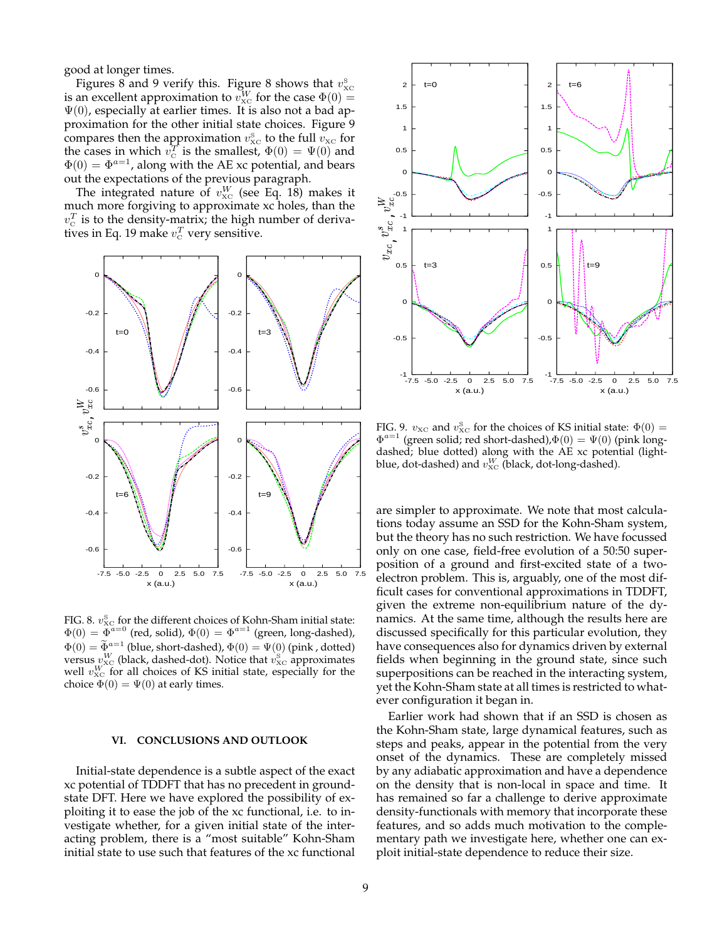good at longer times.

Figures 8 and 9 verify this. Figure 8 shows that  $v_{\text{xc}}^{\text{s}}$ is an excellent approximation to  $v_{\text{xc}}^W$  for the case  $\Phi(0) =$  $\Psi(0)$ , especially at earlier times. It is also not a bad approximation for the other initial state choices. Figure 9 compares then the approximation  $v_{\rm xc}^{\rm s}$  to the full  $v_{\rm xc}$  for the cases in which  $v_{\rm c}^T$  is the smallest,  $\Phi(0) = \Psi(0)$  and  $\Phi(0) = \Phi^{a=1}$ , along with the AE xc potential, and bears out the expectations of the previous paragraph.

The integrated nature of  $v_{\text{xc}}^W$  (see Eq. 18) makes it much more forgiving to approximate xc holes, than the  $v_{\rm c}^T$  is to the density-matrix; the high number of derivatives in Eq. 19 make  $v_{\rm c}^T$  very sensitive.



FIG. 8.  $v_{\rm XC}^{\rm S}$  for the different choices of Kohn-Sham initial state:  $\Phi(0) = \widetilde{\Phi}^{a=0}$  (red, solid),  $\Phi(0) = \Phi^{a=1}$  (green, long-dashed),  $\Phi(0)=\widetilde{\Phi}^{a=1}$  (blue, short-dashed),  $\Phi(0)=\Psi(0)$  (pink , dotted) versus  $v_{\text{XC}}^W$  (black, dashed-dot). Notice that  $v_{\text{XC}}^S$  approximates well  $v_{\text{XC}}^{W}$  for all choices of KS initial state, especially for the choice  $\Phi(0) = \Psi(0)$  at early times.

# **VI. CONCLUSIONS AND OUTLOOK**

Initial-state dependence is a subtle aspect of the exact xc potential of TDDFT that has no precedent in groundstate DFT. Here we have explored the possibility of exploiting it to ease the job of the xc functional, i.e. to investigate whether, for a given initial state of the interacting problem, there is a "most suitable" Kohn-Sham initial state to use such that features of the xc functional



FIG. 9.  $v_{\text{XC}}$  and  $v_{\text{XC}}^{\text{S}}$  for the choices of KS initial state:  $\Phi(0)$  =  $\Phi^{a=1}$  (green solid; red short-dashed), $\Phi(0) = \Psi(0)$  (pink longdashed; blue dotted) along with the AE xc potential (lightblue, dot-dashed) and  $v_{\text{xc}}^W$  (black, dot-long-dashed).

are simpler to approximate. We note that most calculations today assume an SSD for the Kohn-Sham system, but the theory has no such restriction. We have focussed only on one case, field-free evolution of a 50:50 superposition of a ground and first-excited state of a twoelectron problem. This is, arguably, one of the most difficult cases for conventional approximations in TDDFT, given the extreme non-equilibrium nature of the dynamics. At the same time, although the results here are discussed specifically for this particular evolution, they have consequences also for dynamics driven by external fields when beginning in the ground state, since such superpositions can be reached in the interacting system, yet the Kohn-Sham state at all times is restricted to whatever configuration it began in.

Earlier work had shown that if an SSD is chosen as the Kohn-Sham state, large dynamical features, such as steps and peaks, appear in the potential from the very onset of the dynamics. These are completely missed by any adiabatic approximation and have a dependence on the density that is non-local in space and time. It has remained so far a challenge to derive approximate density-functionals with memory that incorporate these features, and so adds much motivation to the complementary path we investigate here, whether one can exploit initial-state dependence to reduce their size.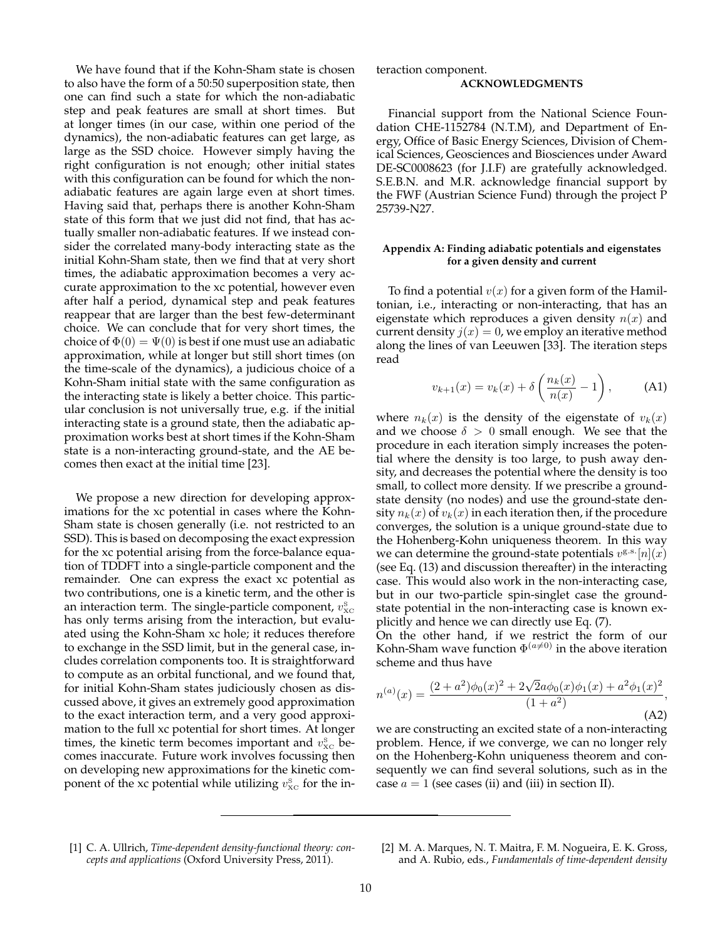We have found that if the Kohn-Sham state is chosen to also have the form of a 50:50 superposition state, then one can find such a state for which the non-adiabatic step and peak features are small at short times. But at longer times (in our case, within one period of the dynamics), the non-adiabatic features can get large, as large as the SSD choice. However simply having the right configuration is not enough; other initial states with this configuration can be found for which the nonadiabatic features are again large even at short times. Having said that, perhaps there is another Kohn-Sham state of this form that we just did not find, that has actually smaller non-adiabatic features. If we instead consider the correlated many-body interacting state as the initial Kohn-Sham state, then we find that at very short times, the adiabatic approximation becomes a very accurate approximation to the xc potential, however even after half a period, dynamical step and peak features reappear that are larger than the best few-determinant choice. We can conclude that for very short times, the choice of  $\Phi(0) = \Psi(0)$  is best if one must use an adiabatic approximation, while at longer but still short times (on the time-scale of the dynamics), a judicious choice of a Kohn-Sham initial state with the same configuration as the interacting state is likely a better choice. This particular conclusion is not universally true, e.g. if the initial interacting state is a ground state, then the adiabatic approximation works best at short times if the Kohn-Sham state is a non-interacting ground-state, and the AE becomes then exact at the initial time [23].

We propose a new direction for developing approximations for the xc potential in cases where the Kohn-Sham state is chosen generally (i.e. not restricted to an SSD). This is based on decomposing the exact expression for the xc potential arising from the force-balance equation of TDDFT into a single-particle component and the remainder. One can express the exact xc potential as two contributions, one is a kinetic term, and the other is an interaction term. The single-particle component,  $v_{\rm xc}^{\rm s}$ has only terms arising from the interaction, but evaluated using the Kohn-Sham xc hole; it reduces therefore to exchange in the SSD limit, but in the general case, includes correlation components too. It is straightforward to compute as an orbital functional, and we found that, for initial Kohn-Sham states judiciously chosen as discussed above, it gives an extremely good approximation to the exact interaction term, and a very good approximation to the full xc potential for short times. At longer times, the kinetic term becomes important and  $v_{\text{xc}}^{\text{s}}$  becomes inaccurate. Future work involves focussing then on developing new approximations for the kinetic component of the xc potential while utilizing  $v_{\rm xc}^{\rm s}$  for the interaction component.

### **ACKNOWLEDGMENTS**

Financial support from the National Science Foundation CHE-1152784 (N.T.M), and Department of Energy, Office of Basic Energy Sciences, Division of Chemical Sciences, Geosciences and Biosciences under Award DE-SC0008623 (for J.I.F) are gratefully acknowledged. S.E.B.N. and M.R. acknowledge financial support by the FWF (Austrian Science Fund) through the project P 25739-N27.

# **Appendix A: Finding adiabatic potentials and eigenstates for a given density and current**

To find a potential  $v(x)$  for a given form of the Hamiltonian, i.e., interacting or non-interacting, that has an eigenstate which reproduces a given density  $n(x)$  and current density  $j(x) = 0$ , we employ an iterative method along the lines of van Leeuwen [33]. The iteration steps read

$$
v_{k+1}(x) = v_k(x) + \delta \left( \frac{n_k(x)}{n(x)} - 1 \right), \quad (A1)
$$

where  $n_k(x)$  is the density of the eigenstate of  $v_k(x)$ and we choose  $\delta > 0$  small enough. We see that the procedure in each iteration simply increases the potential where the density is too large, to push away density, and decreases the potential where the density is too small, to collect more density. If we prescribe a groundstate density (no nodes) and use the ground-state density  $n_k(x)$  of  $v_k(x)$  in each iteration then, if the procedure converges, the solution is a unique ground-state due to the Hohenberg-Kohn uniqueness theorem. In this way we can determine the ground-state potentials  $v^{g.s.}[n](x)$ (see Eq. (13) and discussion thereafter) in the interacting case. This would also work in the non-interacting case, but in our two-particle spin-singlet case the groundstate potential in the non-interacting case is known explicitly and hence we can directly use Eq. (7).

On the other hand, if we restrict the form of our Kohn-Sham wave function  $\Phi^{(a\neq0)}$  in the above iteration scheme and thus have

$$
n^{(a)}(x) = \frac{(2+a^2)\phi_0(x)^2 + 2\sqrt{2}a\phi_0(x)\phi_1(x) + a^2\phi_1(x)^2}{(1+a^2)},
$$
(A2)

we are constructing an excited state of a non-interacting problem. Hence, if we converge, we can no longer rely on the Hohenberg-Kohn uniqueness theorem and consequently we can find several solutions, such as in the case  $a = 1$  (see cases (ii) and (iii) in section II).

<sup>[1]</sup> C. A. Ullrich, *Time-dependent density-functional theory: concepts and applications* (Oxford University Press, 2011).

<sup>[2]</sup> M. A. Marques, N. T. Maitra, F. M. Nogueira, E. K. Gross, and A. Rubio, eds., *Fundamentals of time-dependent density*